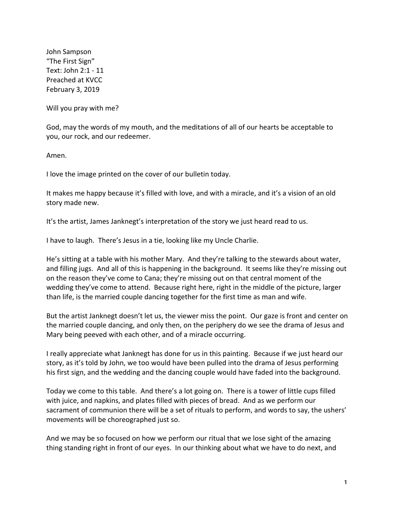John Sampson "The First Sign" Text: John 2:1 - 11 Preached at KVCC February 3, 2019

Will you pray with me?

God, may the words of my mouth, and the meditations of all of our hearts be acceptable to you, our rock, and our redeemer.

Amen.

I love the image printed on the cover of our bulletin today.

It makes me happy because it's filled with love, and with a miracle, and it's a vision of an old story made new.

It's the artist, James Janknegt's interpretation of the story we just heard read to us.

I have to laugh. There's Jesus in a tie, looking like my Uncle Charlie.

He's sitting at a table with his mother Mary. And they're talking to the stewards about water, and filling jugs. And all of this is happening in the background. It seems like they're missing out on the reason they've come to Cana; they're missing out on that central moment of the wedding they've come to attend. Because right here, right in the middle of the picture, larger than life, is the married couple dancing together for the first time as man and wife.

But the artist Janknegt doesn't let us, the viewer miss the point. Our gaze is front and center on the married couple dancing, and only then, on the periphery do we see the drama of Jesus and Mary being peeved with each other, and of a miracle occurring.

I really appreciate what Janknegt has done for us in this painting. Because if we just heard our story, as it's told by John, we too would have been pulled into the drama of Jesus performing his first sign, and the wedding and the dancing couple would have faded into the background.

Today we come to this table. And there's a lot going on. There is a tower of little cups filled with juice, and napkins, and plates filled with pieces of bread. And as we perform our sacrament of communion there will be a set of rituals to perform, and words to say, the ushers' movements will be choreographed just so.

And we may be so focused on how we perform our ritual that we lose sight of the amazing thing standing right in front of our eyes. In our thinking about what we have to do next, and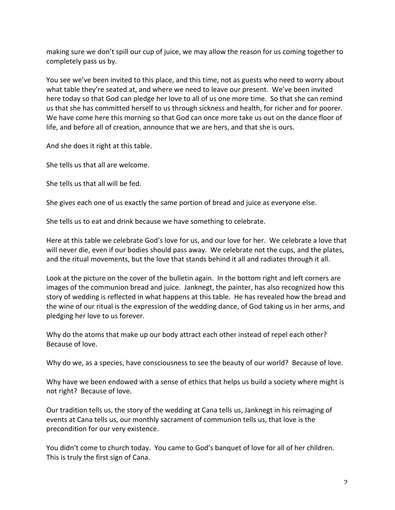making sure we don't spill our cup of juice, we may allow the reason for us coming together to completely pass us by.

You see we've been invited to this place, and this time, not as guests who need to worry about what table they're seated at, and where we need to leave our present. We've been invited here today so that God can pledge her love to all of us one more time. So that she can remind us that she has committed herself to us through sickness and health, for richer and for poorer. We have come here this morning so that God can once more take us out on the dance floor of life, and before all of creation, announce that we are hers, and that she is ours.

And she does it right at this table.

She tells us that all are welcome.

She tells us that all will be fed.

She gives each one of us exactly the same portion of bread and juice as everyone else.

She tells us to eat and drink because we have something to celebrate.

Here at this table we celebrate God's love for us, and our love for her. We celebrate a love that will never die, even if our bodies should pass away. We celebrate not the cups, and the plates, and the ritual movements, but the love that stands behind it all and radiates through it all.

Look at the picture on the cover of the bulletin again. In the bottom right and left corners are images of the communion bread and juice. Janknegt, the painter, has also recognized how this story of wedding is reflected in what happens at this table. He has revealed how the bread and the wine of our ritual is the expression of the wedding dance, of God taking us in her arms, and pledging her love to us forever.

Why do the atoms that make up our body attract each other instead of repel each other? Because of love.

Why do we, as a species, have consciousness to see the beauty of our world? Because of love.

Why have we been endowed with a sense of ethics that helps us build a society where might is not right? Because of love.

Our tradition tells us, the story of the wedding at Cana tells us, Janknegt in his reimaging of events at Cana tells us, our monthly sacrament of communion tells us, that love is the precondition for our very existence.

You didn't come to church today. You came to God's banquet of love for all of her children. This is truly the first sign of Cana.